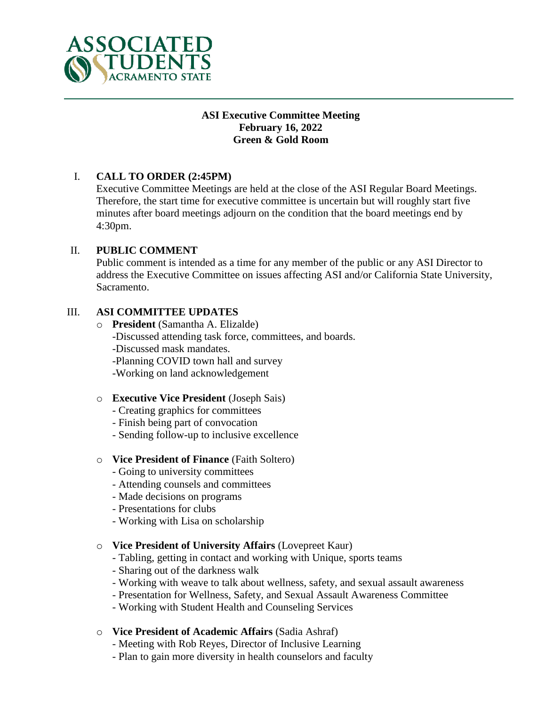

#### **ASI Executive Committee Meeting February 16, 2022 Green & Gold Room**

## I. **CALL TO ORDER (2:45PM)**

Executive Committee Meetings are held at the close of the ASI Regular Board Meetings. Therefore, the start time for executive committee is uncertain but will roughly start five minutes after board meetings adjourn on the condition that the board meetings end by 4:30pm.

## II. **PUBLIC COMMENT**

Public comment is intended as a time for any member of the public or any ASI Director to address the Executive Committee on issues affecting ASI and/or California State University, Sacramento.

#### III. **ASI COMMITTEE UPDATES**

o **President** (Samantha A. Elizalde) -Discussed attending task force, committees, and boards. -Discussed mask mandates. -Planning COVID town hall and survey -Working on land acknowledgement

#### o **Executive Vice President** (Joseph Sais)

- Creating graphics for committees
- Finish being part of convocation
- Sending follow-up to inclusive excellence

#### o **Vice President of Finance** (Faith Soltero)

- Going to university committees
- Attending counsels and committees
- Made decisions on programs
- Presentations for clubs
- Working with Lisa on scholarship

#### o **Vice President of University Affairs** (Lovepreet Kaur)

- Tabling, getting in contact and working with Unique, sports teams
- Sharing out of the darkness walk
- Working with weave to talk about wellness, safety, and sexual assault awareness
- Presentation for Wellness, Safety, and Sexual Assault Awareness Committee
- Working with Student Health and Counseling Services
- o **Vice President of Academic Affairs** (Sadia Ashraf)
	- Meeting with Rob Reyes, Director of Inclusive Learning
	- Plan to gain more diversity in health counselors and faculty